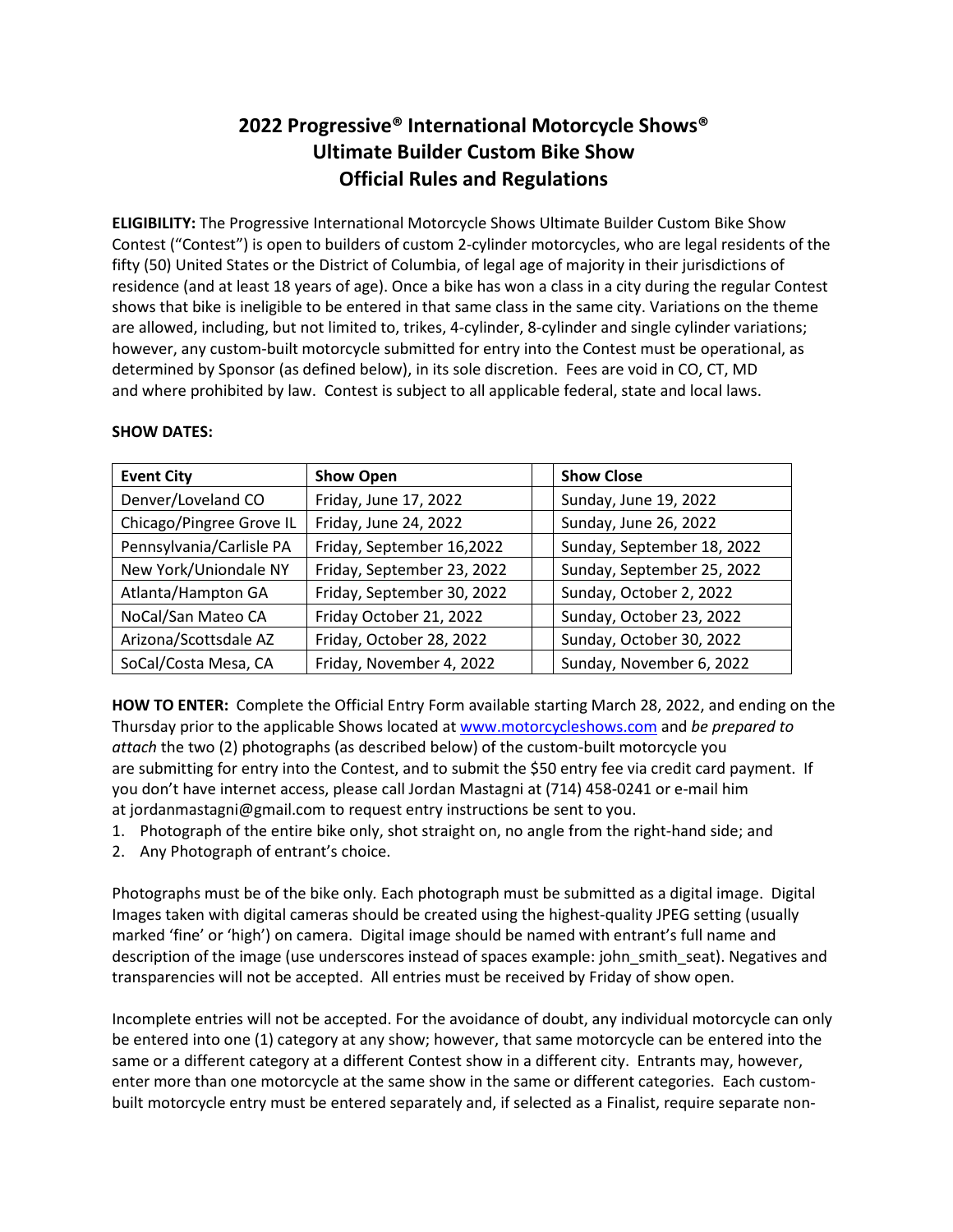# **2022 Progressive® International Motorcycle Shows® Ultimate Builder Custom Bike Show Official Rules and Regulations**

**ELIGIBILITY:**The Progressive International Motorcycle Shows Ultimate Builder Custom Bike Show Contest ("Contest") is open to builders of custom 2-cylinder motorcycles, who are legal residents of the fifty (50) United States or the District of Columbia, of legal age of majority in their jurisdictions of residence (and at least 18 years of age). Once a bike has won a class in a city during the regular Contest shows that bike is ineligible to be entered in that same class in the same city. Variations on the theme are allowed, including, but not limited to, trikes, 4-cylinder, 8-cylinder and single cylinder variations; however, any custom-built motorcycle submitted for entry into the Contest must be operational, as determined by Sponsor (as defined below), in its sole discretion.  Fees are void in CO, CT, MD and where prohibited by law.  Contest is subject to all applicable federal, state and local laws.

| <b>Event City</b>        | <b>Show Open</b>           | <b>Show Close</b>          |
|--------------------------|----------------------------|----------------------------|
| Denver/Loveland CO       | Friday, June 17, 2022      | Sunday, June 19, 2022      |
| Chicago/Pingree Grove IL | Friday, June 24, 2022      | Sunday, June 26, 2022      |
| Pennsylvania/Carlisle PA | Friday, September 16,2022  | Sunday, September 18, 2022 |
| New York/Uniondale NY    | Friday, September 23, 2022 | Sunday, September 25, 2022 |
| Atlanta/Hampton GA       | Friday, September 30, 2022 | Sunday, October 2, 2022    |
| NoCal/San Mateo CA       | Friday October 21, 2022    | Sunday, October 23, 2022   |
| Arizona/Scottsdale AZ    | Friday, October 28, 2022   | Sunday, October 30, 2022   |
| SoCal/Costa Mesa, CA     | Friday, November 4, 2022   | Sunday, November 6, 2022   |

# **SHOW DATES:**

**HOW TO ENTER:** Complete the Official Entry Form available starting March 28, 2022, and ending on the Thursday prior to the applicable Shows located at [www.motorcycleshows.com](http://www.motorcycleshows.com/) and *be prepared to attach* the two (2) photographs (as described below) of the custom-built motorcycle you are submitting for entry into the Contest, and to submit the \$50 entry fee via credit card payment.  If you don't have internet access, please call Jordan Mastagni at (714) 458-0241 or e-mail him at jordanmastagni@gmail.com to request entry instructions be sent to you.

- 1. Photograph of the entire bike only, shot straight on, no angle from the right-hand side; and
- 2. Any Photograph of entrant's choice.

Photographs must be of the bike only*.*Each photograph must be submitted as a digital image.  Digital Images taken with digital cameras should be created using the highest-quality JPEG setting (usually marked 'fine' or 'high') on camera.  Digital image should be named with entrant's full name and description of the image (use underscores instead of spaces example: john smith seat). Negatives and transparencies will not be accepted.  All entries must be received by Friday of show open.

Incomplete entries will not be accepted. For the avoidance of doubt, any individual motorcycle can only be entered into one (1) category at any show; however, that same motorcycle can be entered into the same or a different category at a different Contest show in a different city. Entrants may, however, enter more than one motorcycle at the same show in the same or different categories.  Each custombuilt motorcycle entry must be entered separately and, if selected as a Finalist, require separate non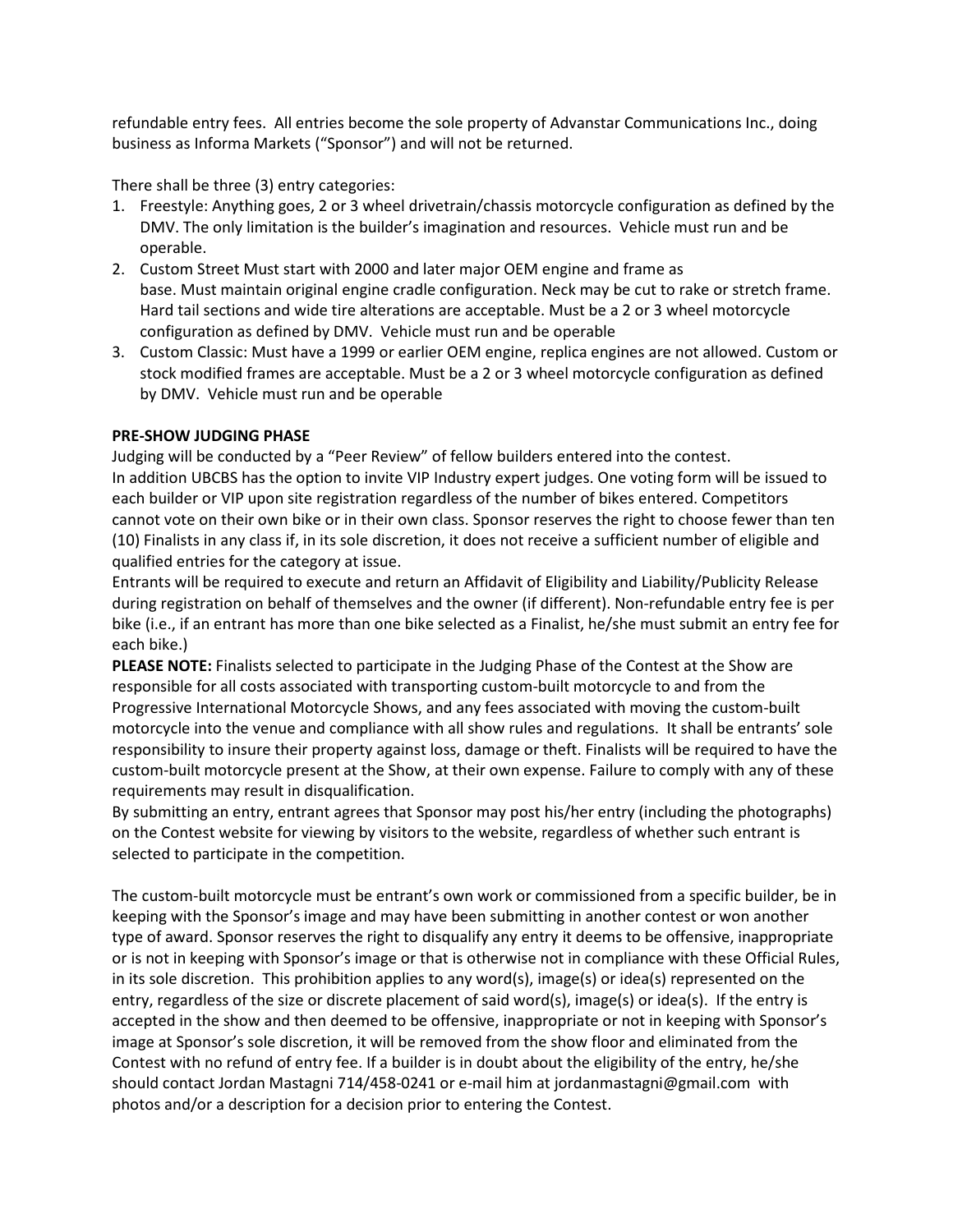refundable entry fees. All entries become the sole property of Advanstar Communications Inc., doing business as Informa Markets ("Sponsor") and will not be returned.

There shall be three (3) entry categories:

- 1. Freestyle: Anything goes, 2 or 3 wheel drivetrain/chassis motorcycle configuration as defined by the DMV. The only limitation is the builder's imagination and resources. Vehicle must run and be operable.
- 2. Custom Street Must start with 2000 and later major OEM engine and frame as base. Must maintain original engine cradle configuration. Neck may be cut to rake or stretch frame. Hard tail sections and wide tire alterations are acceptable. Must be a 2 or 3 wheel motorcycle configuration as defined by DMV. Vehicle must run and be operable
- 3. Custom Classic: Must have a 1999 or earlier OEM engine, replica engines are not allowed. Custom or stock modified frames are acceptable. Must be a 2 or 3 wheel motorcycle configuration as defined by DMV. Vehicle must run and be operable

## **PRE-SHOW JUDGING PHASE**

Judging will be conducted by a "Peer Review" of fellow builders entered into the contest. In addition UBCBS has the option to invite VIP Industry expert judges. One voting form will be issued to each builder or VIP upon site registration regardless of the number of bikes entered. Competitors cannot vote on their own bike or in their own class. Sponsor reserves the right to choose fewer than ten (10) Finalists in any class if, in its sole discretion, it does not receive a sufficient number of eligible and qualified entries for the category at issue. 

Entrants will be required to execute and return an Affidavit of Eligibility and Liability/Publicity Release during registration on behalf of themselves and the owner (if different). Non-refundable entry fee is per bike (i.e., if an entrant has more than one bike selected as a Finalist, he/she must submit an entry fee for each bike.)

**PLEASE NOTE:** Finalists selected to participate in the Judging Phase of the Contest at the Show are responsible for all costs associated with transporting custom-built motorcycle to and from the Progressive International Motorcycle Shows, and any fees associated with moving the custom-built motorcycle into the venue and compliance with all show rules and regulations.  It shall be entrants' sole responsibility to insure their property against loss, damage or theft. Finalists will be required to have the custom-built motorcycle present at the Show, at their own expense. Failure to comply with any of these requirements may result in disqualification.

By submitting an entry, entrant agrees that Sponsor may post his/her entry (including the photographs) on the Contest website for viewing by visitors to the website, regardless of whether such entrant is selected to participate in the competition.

The custom-built motorcycle must be entrant's own work or commissioned from a specific builder, be in keeping with the Sponsor's image and may have been submitting in another contest or won another type of award. Sponsor reserves the right to disqualify any entry it deems to be offensive, inappropriate or is not in keeping with Sponsor's image or that is otherwise not in compliance with these Official Rules, in its sole discretion.  This prohibition applies to any word(s), image(s) or idea(s) represented on the entry, regardless of the size or discrete placement of said word(s), image(s) or idea(s).  If the entry is accepted in the show and then deemed to be offensive, inappropriate or not in keeping with Sponsor's image at Sponsor's sole discretion, it will be removed from the show floor and eliminated from the Contest with no refund of entry fee. If a builder is in doubt about the eligibility of the entry, he/she should contact Jordan Mastagni 714/458-0241 or e-mail him at jordanmastagni@gmail.com with photos and/or a description for a decision prior to entering the Contest.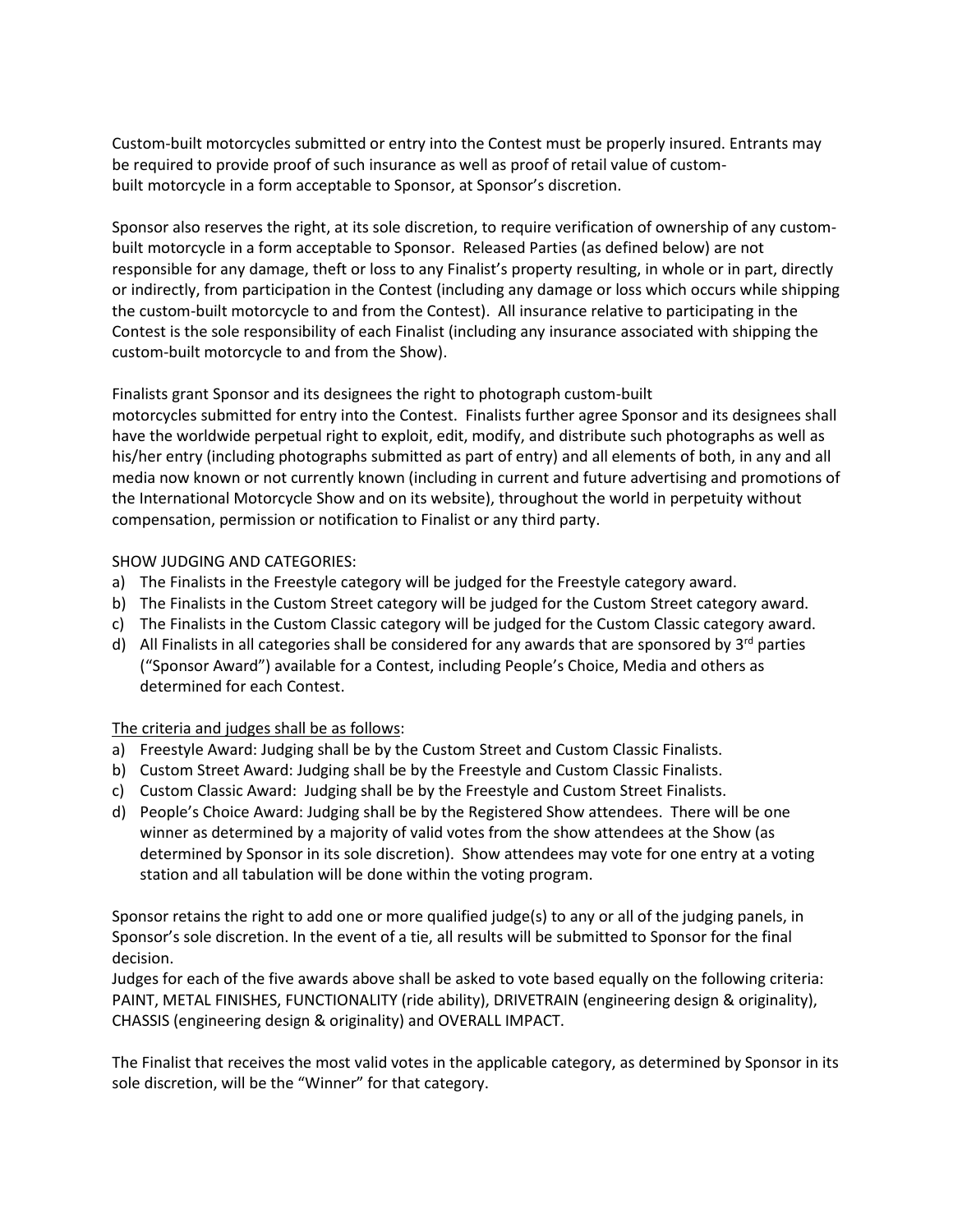Custom-built motorcycles submitted or entry into the Contest must be properly insured. Entrants may be required to provide proof of such insurance as well as proof of retail value of custombuilt motorcycle in a form acceptable to Sponsor, at Sponsor's discretion.

Sponsor also reserves the right, at its sole discretion, to require verification of ownership of any custombuilt motorcycle in a form acceptable to Sponsor.  Released Parties (as defined below) are not responsible for any damage, theft or loss to any Finalist's property resulting, in whole or in part, directly or indirectly, from participation in the Contest (including any damage or loss which occurs while shipping the custom-built motorcycle to and from the Contest).  All insurance relative to participating in the Contest is the sole responsibility of each Finalist (including any insurance associated with shipping the custom-built motorcycle to and from the Show). 

# Finalists grant Sponsor and its designees the right to photograph custom-built

motorcycles submitted for entry into the Contest.  Finalists further agree Sponsor and its designees shall have the worldwide perpetual right to exploit, edit, modify, and distribute such photographs as well as his/her entry (including photographs submitted as part of entry) and all elements of both, in any and all media now known or not currently known (including in current and future advertising and promotions of the International Motorcycle Show and on its website), throughout the world in perpetuity without compensation, permission or notification to Finalist or any third party. 

# SHOW JUDGING AND CATEGORIES:

- a) The Finalists in the Freestyle category will be judged for the Freestyle category award.
- b) The Finalists in the Custom Street category will be judged for the Custom Street category award.
- c) The Finalists in the Custom Classic category will be judged for the Custom Classic category award.
- d) All Finalists in all categories shall be considered for any awards that are sponsored by  $3^{rd}$  parties ("Sponsor Award") available for a Contest, including People's Choice, Media and others as determined for each Contest.

## The criteria and judges shall be as follows:

- a) Freestyle Award: Judging shall be by the Custom Street and Custom Classic Finalists.
- b) Custom Street Award: Judging shall be by the Freestyle and Custom Classic Finalists.
- c) Custom Classic Award:  Judging shall be by the Freestyle and Custom Street Finalists.
- d) People's Choice Award: Judging shall be by the Registered Show attendees.  There will be one winner as determined by a majority of valid votes from the show attendees at the Show (as determined by Sponsor in its sole discretion).  Show attendees may vote for one entry at a voting station and all tabulation will be done within the voting program.

Sponsor retains the right to add one or more qualified judge(s) to any or all of the judging panels, in Sponsor's sole discretion. In the event of a tie, all results will be submitted to Sponsor for the final decision.

Judges for each of the five awards above shall be asked to vote based equally on the following criteria: PAINT, METAL FINISHES, FUNCTIONALITY (ride ability), DRIVETRAIN (engineering design & originality), CHASSIS (engineering design & originality) and OVERALL IMPACT.

The Finalist that receives the most valid votes in the applicable category, as determined by Sponsor in its sole discretion, will be the "Winner" for that category.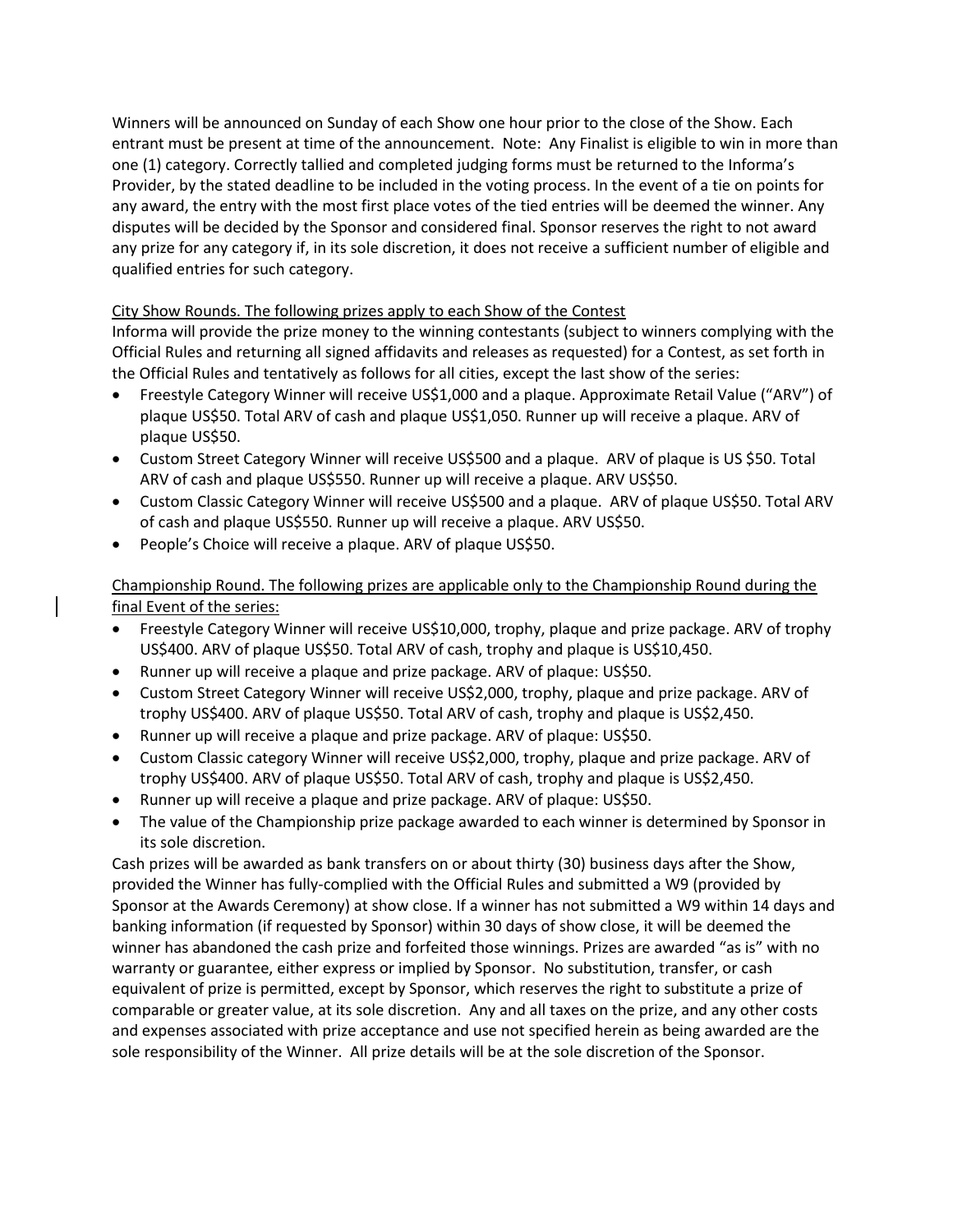Winners will be announced on Sunday of each Show one hour prior to the close of the Show. Each entrant must be present at time of the announcement.  Note:  Any Finalist is eligible to win in more than one (1) category. Correctly tallied and completed judging forms must be returned to the Informa's Provider, by the stated deadline to be included in the voting process. In the event of a tie on points for any award, the entry with the most first place votes of the tied entries will be deemed the winner. Any disputes will be decided by the Sponsor and considered final. Sponsor reserves the right to not award any prize for any category if, in its sole discretion, it does not receive a sufficient number of eligible and qualified entries for such category.

# City Show Rounds. The following prizes apply to each Show of the Contest

Informa will provide the prize money to the winning contestants (subject to winners complying with the Official Rules and returning all signed affidavits and releases as requested) for a Contest, as set forth in the Official Rules and tentatively as follows for all cities, except the last show of the series:

- Freestyle Category Winner will receive US\$1,000 and a plaque. Approximate Retail Value ("ARV") of plaque US\$50. Total ARV of cash and plaque US\$1,050. Runner up will receive a plaque. ARV of plaque US\$50.
- Custom Street Category Winner will receive US\$500 and a plaque.  ARV of plaque is US \$50. Total ARV of cash and plaque US\$550. Runner up will receive a plaque. ARV US\$50.
- Custom Classic Category Winner will receive US\$500 and a plaque.  ARV of plaque US\$50. Total ARV of cash and plaque US\$550. Runner up will receive a plaque. ARV US\$50.
- People's Choice will receive a plaque. ARV of plaque US\$50.

Championship Round. The following prizes are applicable only to the Championship Round during the final Event of the series:

- Freestyle Category Winner will receive US\$10,000, trophy, plaque and prize package. ARV of trophy US\$400. ARV of plaque US\$50. Total ARV of cash, trophy and plaque is US\$10,450.
- Runner up will receive a plaque and prize package. ARV of plaque: US\$50.
- Custom Street Category Winner will receive US\$2,000, trophy, plaque and prize package. ARV of trophy US\$400. ARV of plaque US\$50. Total ARV of cash, trophy and plaque is US\$2,450.
- Runner up will receive a plaque and prize package. ARV of plaque: US\$50.
- Custom Classic category Winner will receive US\$2,000, trophy, plaque and prize package. ARV of trophy US\$400. ARV of plaque US\$50. Total ARV of cash, trophy and plaque is US\$2,450.
- Runner up will receive a plaque and prize package. ARV of plaque: US\$50.
- The value of the Championship prize package awarded to each winner is determined by Sponsor in its sole discretion.

Cash prizes will be awarded as bank transfers on or about thirty (30) business days after the Show, provided the Winner has fully-complied with the Official Rules and submitted a W9 (provided by Sponsor at the Awards Ceremony) at show close. If a winner has not submitted a W9 within 14 days and banking information (if requested by Sponsor) within 30 days of show close, it will be deemed the winner has abandoned the cash prize and forfeited those winnings. Prizes are awarded "as is" with no warranty or guarantee, either express or implied by Sponsor.  No substitution, transfer, or cash equivalent of prize is permitted, except by Sponsor, which reserves the right to substitute a prize of comparable or greater value, at its sole discretion.  Any and all taxes on the prize, and any other costs and expenses associated with prize acceptance and use not specified herein as being awarded are the sole responsibility of the Winner.  All prize details will be at the sole discretion of the Sponsor.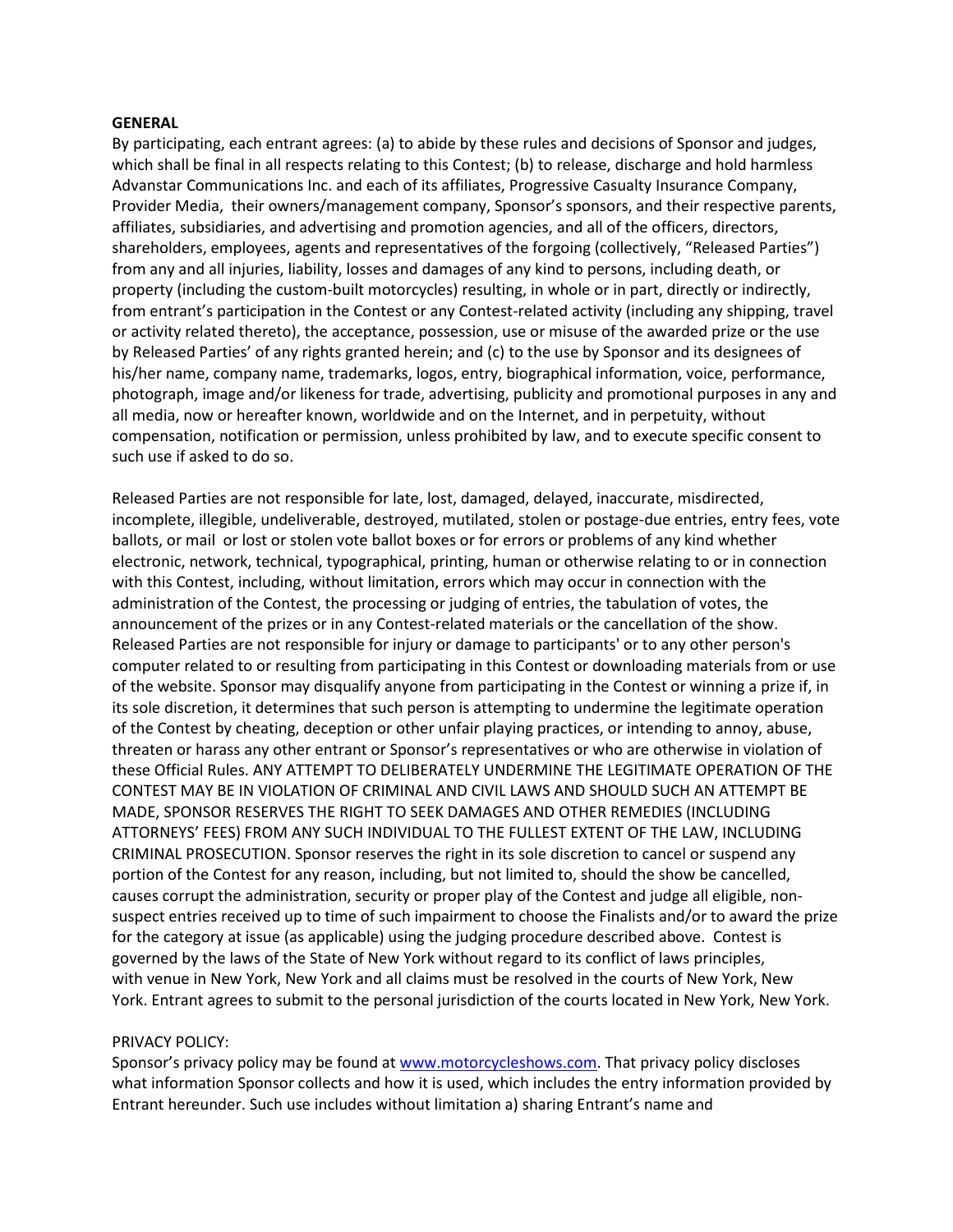#### **GENERAL**

By participating, each entrant agrees: (a) to abide by these rules and decisions of Sponsor and judges, which shall be final in all respects relating to this Contest; (b) to release, discharge and hold harmless Advanstar Communications Inc. and each of its affiliates, Progressive Casualty Insurance Company, Provider Media, their owners/management company, Sponsor's sponsors, and their respective parents, affiliates, subsidiaries, and advertising and promotion agencies, and all of the officers, directors, shareholders, employees, agents and representatives of the forgoing (collectively, "Released Parties") from any and all injuries, liability, losses and damages of any kind to persons, including death, or property (including the custom-built motorcycles) resulting, in whole or in part, directly or indirectly, from entrant's participation in the Contest or any Contest-related activity (including any shipping, travel or activity related thereto), the acceptance, possession, use or misuse of the awarded prize or the use by Released Parties' of any rights granted herein; and (c) to the use by Sponsor and its designees of his/her name, company name, trademarks, logos, entry, biographical information, voice, performance, photograph, image and/or likeness for trade, advertising, publicity and promotional purposes in any and all media, now or hereafter known, worldwide and on the Internet, and in perpetuity, without compensation, notification or permission, unless prohibited by law, and to execute specific consent to such use if asked to do so. 

Released Parties are not responsible for late, lost, damaged, delayed, inaccurate, misdirected, incomplete, illegible, undeliverable, destroyed, mutilated, stolen or postage-due entries, entry fees, vote ballots, or mail  or lost or stolen vote ballot boxes or for errors or problems of any kind whether electronic, network, technical, typographical, printing, human or otherwise relating to or in connection with this Contest, including, without limitation, errors which may occur in connection with the administration of the Contest, the processing or judging of entries, the tabulation of votes, the announcement of the prizes or in any Contest-related materials or the cancellation of the show.  Released Parties are not responsible for injury or damage to participants' or to any other person's computer related to or resulting from participating in this Contest or downloading materials from or use of the website. Sponsor may disqualify anyone from participating in the Contest or winning a prize if, in its sole discretion, it determines that such person is attempting to undermine the legitimate operation of the Contest by cheating, deception or other unfair playing practices, or intending to annoy, abuse, threaten or harass any other entrant or Sponsor's representatives or who are otherwise in violation of these Official Rules. ANY ATTEMPT TO DELIBERATELY UNDERMINE THE LEGITIMATE OPERATION OF THE CONTEST MAY BE IN VIOLATION OF CRIMINAL AND CIVIL LAWS AND SHOULD SUCH AN ATTEMPT BE MADE, SPONSOR RESERVES THE RIGHT TO SEEK DAMAGES AND OTHER REMEDIES (INCLUDING ATTORNEYS' FEES) FROM ANY SUCH INDIVIDUAL TO THE FULLEST EXTENT OF THE LAW, INCLUDING CRIMINAL PROSECUTION. Sponsor reserves the right in its sole discretion to cancel or suspend any portion of the Contest for any reason, including, but not limited to, should the show be cancelled, causes corrupt the administration, security or proper play of the Contest and judge all eligible, nonsuspect entries received up to time of such impairment to choose the Finalists and/or to award the prize for the category at issue (as applicable) using the judging procedure described above.  Contest is governed by the laws of the State of New York without regard to its conflict of laws principles, with venue in New York, New York and all claims must be resolved in the courts of New York, New York. Entrant agrees to submit to the personal jurisdiction of the courts located in New York, New York.

#### PRIVACY POLICY:

Sponsor's privacy policy may be found at [www.motorcycleshows.com.](http://www.motorcycleshows.com/) That privacy policy discloses what information Sponsor collects and how it is used, which includes the entry information provided by Entrant hereunder. Such use includes without limitation a) sharing Entrant's name and